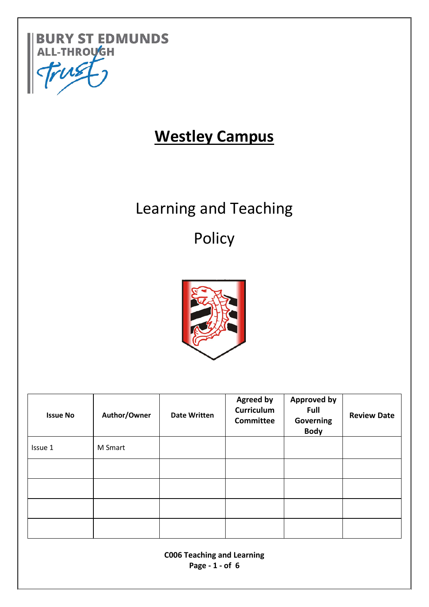

# **Westley Campus**

# Learning and Teaching

# Policy



| <b>Issue No</b> | Author/Owner | <b>Date Written</b> | <b>Agreed by</b><br><b>Curriculum</b><br><b>Committee</b> | <b>Approved by</b><br><b>Full</b><br><b>Governing</b><br><b>Body</b> | <b>Review Date</b> |
|-----------------|--------------|---------------------|-----------------------------------------------------------|----------------------------------------------------------------------|--------------------|
| Issue 1         | M Smart      |                     |                                                           |                                                                      |                    |
|                 |              |                     |                                                           |                                                                      |                    |
|                 |              |                     |                                                           |                                                                      |                    |
|                 |              |                     |                                                           |                                                                      |                    |
|                 |              |                     |                                                           |                                                                      |                    |

**C006 Teaching and Learning Page - 1 - of 6**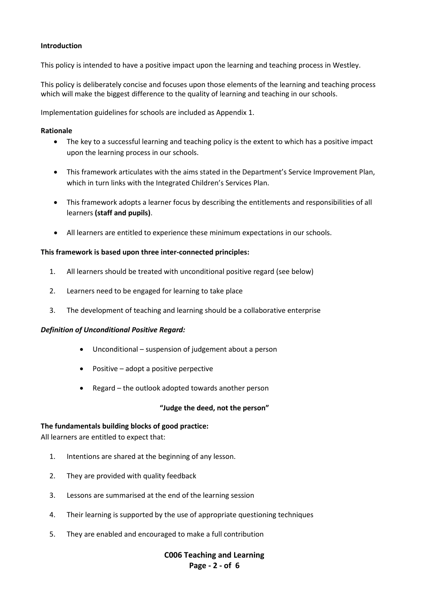# **Introduction**

This policy is intended to have a positive impact upon the learning and teaching process in Westley.

This policy is deliberately concise and focuses upon those elements of the learning and teaching process which will make the biggest difference to the quality of learning and teaching in our schools.

Implementation guidelines for schools are included as Appendix 1.

#### **Rationale**

- The key to a successful learning and teaching policy is the extent to which has a positive impact upon the learning process in our schools.
- This framework articulates with the aims stated in the Department's Service Improvement Plan, which in turn links with the Integrated Children's Services Plan.
- This framework adopts a learner focus by describing the entitlements and responsibilities of all learners **(staff and pupils)**.
- All learners are entitled to experience these minimum expectations in our schools.

#### **This framework is based upon three inter-connected principles:**

- 1. All learners should be treated with unconditional positive regard (see below)
- 2. Learners need to be engaged for learning to take place
- 3. The development of teaching and learning should be a collaborative enterprise

#### *Definition of Unconditional Positive Regard:*

- Unconditional suspension of judgement about a person
- Positive adopt a positive perpective
- Regard the outlook adopted towards another person

#### **"Judge the deed, not the person"**

#### **The fundamentals building blocks of good practice:**

All learners are entitled to expect that:

- 1. Intentions are shared at the beginning of any lesson.
- 2. They are provided with quality feedback
- 3. Lessons are summarised at the end of the learning session
- 4. Their learning is supported by the use of appropriate questioning techniques
- 5. They are enabled and encouraged to make a full contribution

**C006 Teaching and Learning Page - 2 - of 6**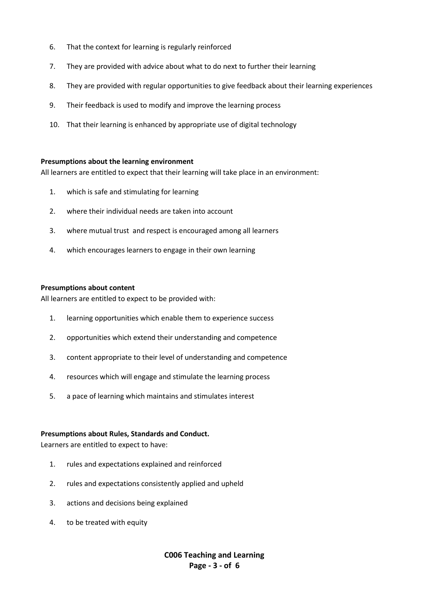- 6. That the context for learning is regularly reinforced
- 7. They are provided with advice about what to do next to further their learning
- 8. They are provided with regular opportunities to give feedback about their learning experiences
- 9. Their feedback is used to modify and improve the learning process
- 10. That their learning is enhanced by appropriate use of digital technology

#### **Presumptions about the learning environment**

All learners are entitled to expect that their learning will take place in an environment:

- 1. which is safe and stimulating for learning
- 2. where their individual needs are taken into account
- 3. where mutual trust and respect is encouraged among all learners
- 4. which encourages learners to engage in their own learning

#### **Presumptions about content**

All learners are entitled to expect to be provided with:

- 1. learning opportunities which enable them to experience success
- 2. opportunities which extend their understanding and competence
- 3. content appropriate to their level of understanding and competence
- 4. resources which will engage and stimulate the learning process
- 5. a pace of learning which maintains and stimulates interest

#### **Presumptions about Rules, Standards and Conduct.**

Learners are entitled to expect to have:

- 1. rules and expectations explained and reinforced
- 2. rules and expectations consistently applied and upheld
- 3. actions and decisions being explained
- 4. to be treated with equity

**C006 Teaching and Learning Page - 3 - of 6**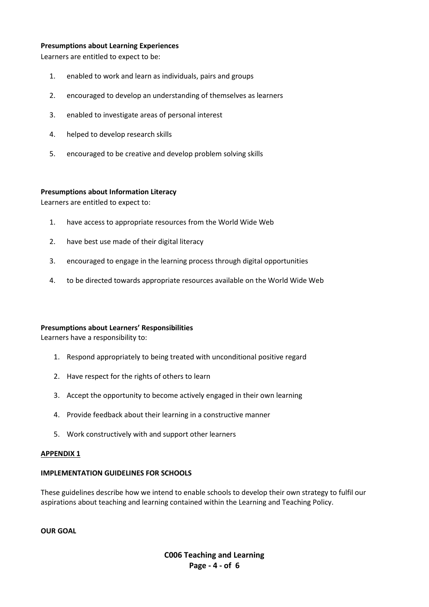#### **Presumptions about Learning Experiences**

Learners are entitled to expect to be:

- 1. enabled to work and learn as individuals, pairs and groups
- 2. encouraged to develop an understanding of themselves as learners
- 3. enabled to investigate areas of personal interest
- 4. helped to develop research skills
- 5. encouraged to be creative and develop problem solving skills

#### **Presumptions about Information Literacy**

Learners are entitled to expect to:

- 1. have access to appropriate resources from the World Wide Web
- 2. have best use made of their digital literacy
- 3. encouraged to engage in the learning process through digital opportunities
- 4. to be directed towards appropriate resources available on the World Wide Web

#### **Presumptions about Learners' Responsibilities**

Learners have a responsibility to:

- 1. Respond appropriately to being treated with unconditional positive regard
- 2. Have respect for the rights of others to learn
- 3. Accept the opportunity to become actively engaged in their own learning
- 4. Provide feedback about their learning in a constructive manner
- 5. Work constructively with and support other learners

#### **APPENDIX 1**

#### **IMPLEMENTATION GUIDELINES FOR SCHOOLS**

These guidelines describe how we intend to enable schools to develop their own strategy to fulfil our aspirations about teaching and learning contained within the Learning and Teaching Policy.

**OUR GOAL**

**C006 Teaching and Learning Page - 4 - of 6**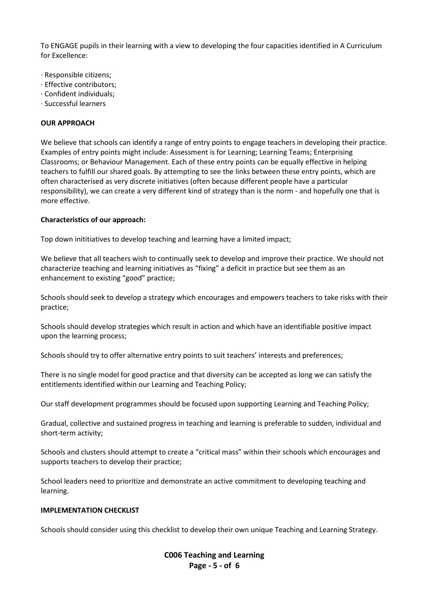To ENGAGE pupils in their learning with a view to developing the four capacities identified in A Curriculum for Excellence:

- · Responsible citizens;
- · Effective contributors;
- · Confident individuals;
- · Successful learners

# **OUR APPROACH**

We believe that schools can identify a range of entry points to engage teachers in developing their practice. Examples of entry points might include: Assessment is for Learning; Learning Teams; Enterprising Classrooms; or Behaviour Management. Each of these entry points can be equally effective in helping teachers to fulfill our shared goals. By attempting to see the links between these entry points, which are often characterised as very discrete initiatives (often because different people have a particular responsibility), we can create a very different kind of strategy than is the norm - and hopefully one that is more effective.

#### **Characteristics of our approach:**

Top down inititiatives to develop teaching and learning have a limited impact;

We believe that all teachers wish to continually seek to develop and improve their practice. We should not characterize teaching and learning initiatives as "fixing" a deficit in practice but see them as an enhancement to existing "good" practice;

Schools should seek to develop a strategy which encourages and empowers teachers to take risks with their practice;

Schools should develop strategies which result in action and which have an identifiable positive impact upon the learning process;

Schools should try to offer alternative entry points to suit teachers' interests and preferences;

There is no single model for good practice and that diversity can be accepted as long we can satisfy the entitlements identified within our Learning and Teaching Policy;

Our staff development programmes should be focused upon supporting Learning and Teaching Policy;

Gradual, collective and sustained progress in teaching and learning is preferable to sudden, individual and short-term activity;

Schools and clusters should attempt to create a "critical mass" within their schools which encourages and supports teachers to develop their practice;

School leaders need to prioritize and demonstrate an active commitment to developing teaching and learning.

# **IMPLEMENTATION CHECKLIST**

Schools should consider using this checklist to develop their own unique Teaching and Learning Strategy.